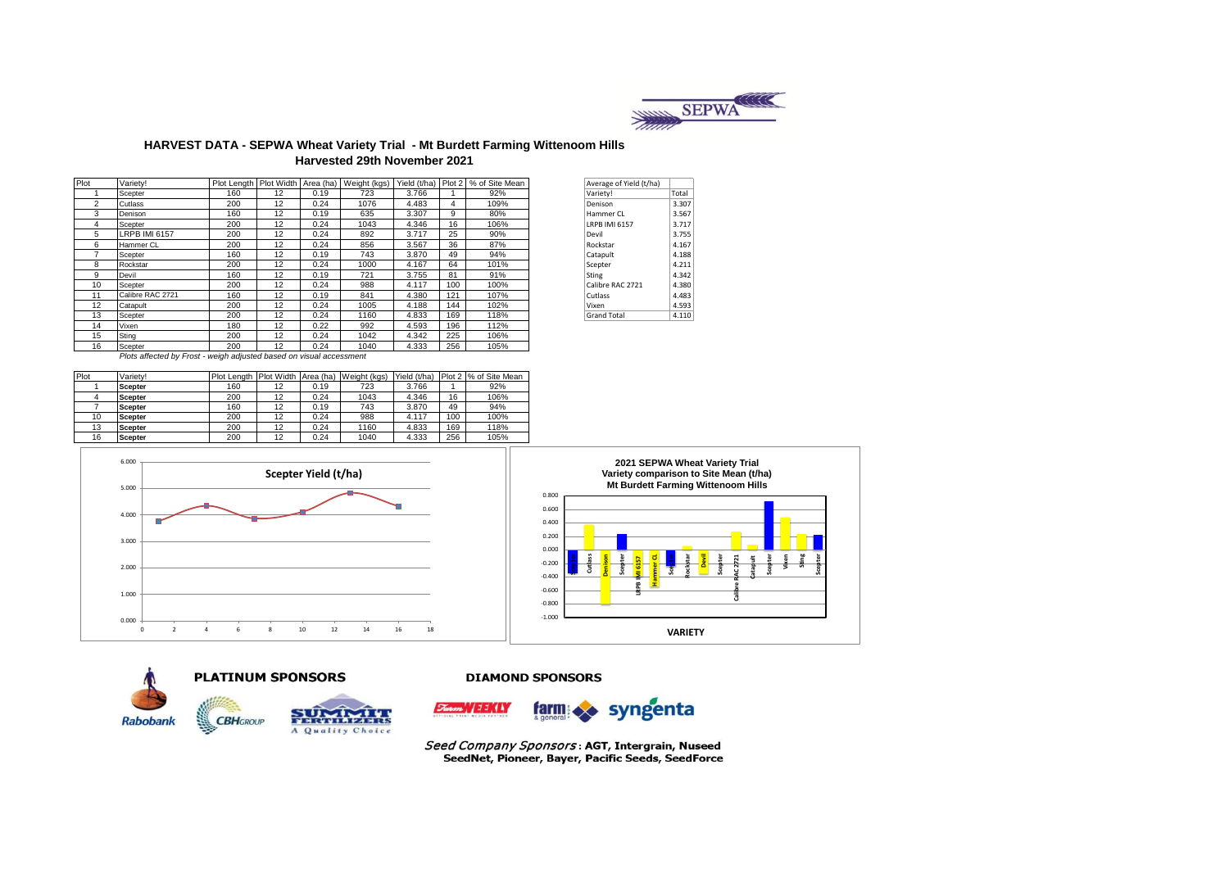

#### **HARVEST DATA - SEPWA Wheat Variety Trial - Mt Burdett Farming Wittenoom Hills Harvested 29th November 2021**

| Plot           | Variety!                                                                                                       |     |    |      |      |       |     | Plot Length   Plot Width   Area (ha)   Weight (kgs)   Yield (t/ha)   Plot 2   % of Site Mean | Average of Yield (t/ha) |       |
|----------------|----------------------------------------------------------------------------------------------------------------|-----|----|------|------|-------|-----|----------------------------------------------------------------------------------------------|-------------------------|-------|
|                | Scepter                                                                                                        | 160 | 12 | 0.19 | 723  | 3.766 |     | 92%                                                                                          | Variety!                | Total |
| $\overline{2}$ | Cutlass                                                                                                        | 200 | 12 | 0.24 | 1076 | 4.483 | 4   | 109%                                                                                         | Denison                 | 3.307 |
| 3              | Denison                                                                                                        | 160 | 12 | 0.19 | 635  | 3.307 | 9   | 80%                                                                                          | Hammer CL               | 3.567 |
| 4              | Scepter                                                                                                        | 200 | 12 | 0.24 | 1043 | 4.346 | 16  | 106%                                                                                         | <b>LRPB IMI 6157</b>    | 3.717 |
| 5              | <b>LRPB IMI 6157</b>                                                                                           | 200 | 12 | 0.24 | 892  | 3.717 | 25  | 90%                                                                                          | Devil                   | 3.755 |
| 6              | Hammer CL                                                                                                      | 200 | 12 | 0.24 | 856  | 3.567 | 36  | 87%                                                                                          | Rockstar                | 4.167 |
|                | Scepter                                                                                                        | 160 | 12 | 0.19 | 743  | 3.870 | 49  | 94%                                                                                          | Catapult                | 4.188 |
| 8              | Rockstar                                                                                                       | 200 | 12 | 0.24 | 1000 | 4.167 | 64  | 101%                                                                                         | Scepter                 | 4.211 |
| 9              | Devil                                                                                                          | 160 | 12 | 0.19 | 721  | 3.755 | 81  | 91%                                                                                          | Sting                   | 4.342 |
| 10             | Scepter                                                                                                        | 200 | 12 | 0.24 | 988  | 4.117 | 100 | 100%                                                                                         | Calibre RAC 2721        | 4.380 |
| 11             | Calibre RAC 2721                                                                                               | 160 | 12 | 0.19 | 841  | 4.380 | 121 | 107%                                                                                         | Cutlass                 | 4.483 |
| 12             | Catapult                                                                                                       | 200 | 12 | 0.24 | 1005 | 4.188 | 144 | 102%                                                                                         | Vixen                   | 4.593 |
| 13             | Scepter                                                                                                        | 200 | 12 | 0.24 | 1160 | 4.833 | 169 | 118%                                                                                         | <b>Grand Total</b>      | 4.110 |
| 14             | Vixen                                                                                                          | 180 | 12 | 0.22 | 992  | 4.593 | 196 | 112%                                                                                         |                         |       |
| 15             | Sting                                                                                                          | 200 | 12 | 0.24 | 1042 | 4.342 | 225 | 106%                                                                                         |                         |       |
| 16             | Scepter                                                                                                        | 200 | 12 | 0.24 | 1040 | 4.333 | 256 | 105%                                                                                         |                         |       |
|                | Distance of the stand for County to restate and interested and second continuous control and the second second |     |    |      |      |       |     |                                                                                              |                         |       |

| Average of Yield (t/ha) |       |
|-------------------------|-------|
| Variety!                | Total |
| Denison                 | 3.307 |
| Hammer CL               | 3.567 |
| LRPB IMI 6157           | 3.717 |
| Devil                   | 3.755 |
| Rockstar                | 4.167 |
| Catapult                | 4.188 |
| Scepter                 | 4.211 |
| Sting                   | 4.342 |
| Calibre RAC 2721        | 4.380 |
| Cutlass                 | 4.483 |
| Vixen                   | 4.593 |
| <b>Grand Total</b>      | 4.110 |

*Plots affected by Frost - weigh adjusted based on visual accessment* 

| Plot | Varietv!       | Plot Length Plot Width Area (ha) |    |      | Weight (kgs) | Yield (t/ha) |     | Plot 2 % of Site Mean |
|------|----------------|----------------------------------|----|------|--------------|--------------|-----|-----------------------|
|      | <b>Scepter</b> | 160                              | 12 | 0.19 | 723          | 3.766        |     | 92%                   |
|      | <b>Scepter</b> | 200                              | 12 | 0.24 | 1043         | 4.346        | 16  | 106%                  |
|      | <b>Scepter</b> | 160                              | 12 | 0.19 | 743          | 3.870        | 49  | 94%                   |
| 10   | <b>Scepter</b> | 200                              | 12 | 0.24 | 988          | 4.117        | 100 | 100%                  |
| 13   | <b>Scepter</b> | 200                              | 12 | 0.24 | 1160         | 4.833        | 169 | 118%                  |
| 16   | <b>Scepter</b> | 200                              | 12 | 0.24 | 1040         | 4.333        | 256 | 105%                  |

**Scepter Yield (t/ha)**







5.000 6.000





#### **DIAMOND SPONSORS**



Seed Company Sponsors: AGT, Intergrain, Nuseed SeedNet, Pioneer, Bayer, Pacific Seeds, SeedForce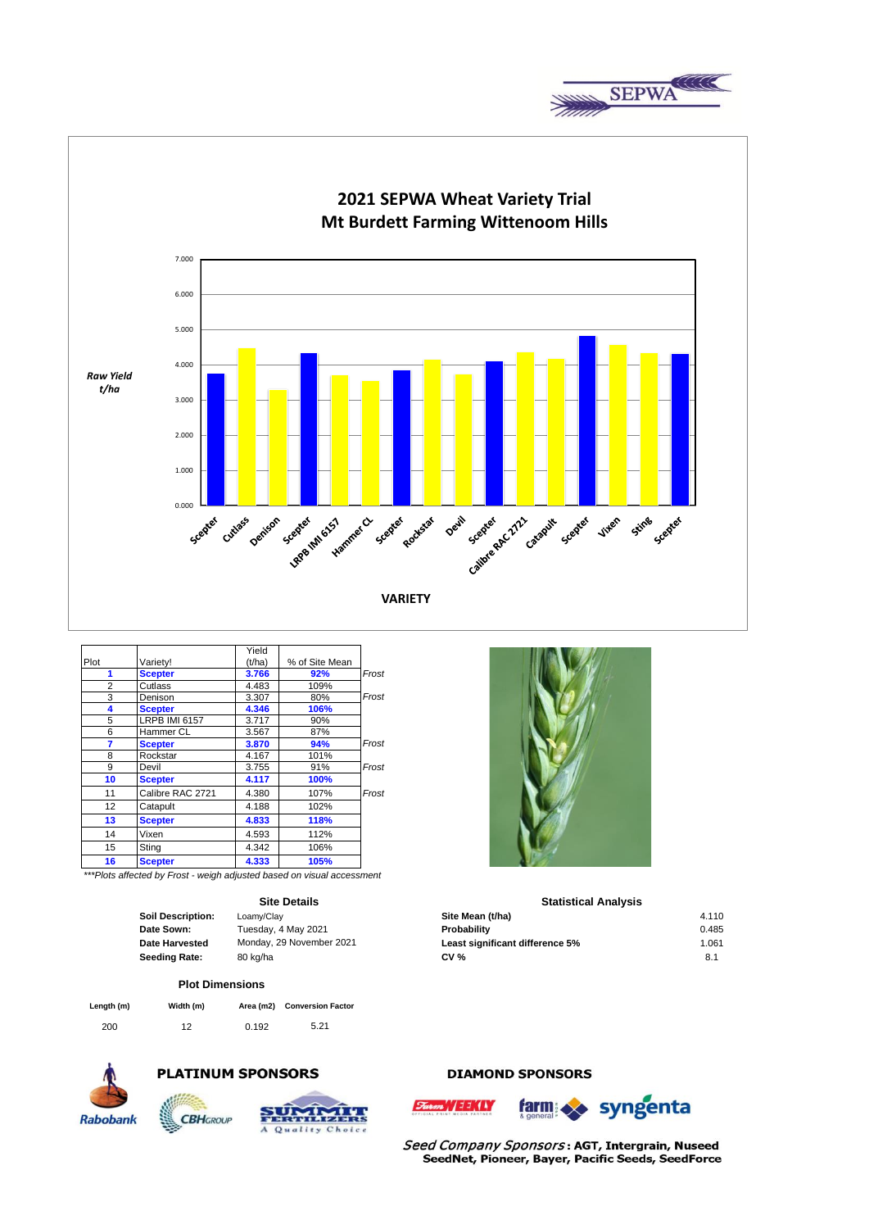



|                   |                                                                       | Yield  |                |       |
|-------------------|-----------------------------------------------------------------------|--------|----------------|-------|
| Plot              | Varietv!                                                              | (t/ha) | % of Site Mean |       |
| 1                 | <b>Scepter</b>                                                        | 3.766  | 92%            | Frost |
| $\overline{2}$    | Cutlass                                                               | 4.483  | 109%           |       |
| 3                 | Denison                                                               | 3.307  | 80%            | Frost |
| 4                 | <b>Scepter</b>                                                        | 4.346  | 106%           |       |
| 5                 | <b>LRPB IMI 6157</b>                                                  | 3.717  | 90%            |       |
| 6                 | Hammer CL                                                             | 3.567  | 87%            |       |
| 7                 | <b>Scepter</b>                                                        | 3.870  | 94%            | Frost |
| 8                 | Rockstar                                                              | 4.167  | 101%           |       |
| 9                 | Devil                                                                 | 3.755  | 91%            | Frost |
| 10                | <b>Scepter</b>                                                        | 4.117  | 100%           |       |
| 11                | Calibre RAC 2721                                                      | 4.380  | 107%           | Frost |
| $12 \overline{ }$ | Catapult                                                              | 4.188  | 102%           |       |
| 13                | <b>Scepter</b>                                                        | 4.833  | 118%           |       |
| 14                | Vixen                                                                 | 4.593  | 112%           |       |
| 15                | Sting                                                                 | 4.342  | 106%           |       |
| 16                | <b>Scepter</b>                                                        | 4.333  | 105%           |       |
|                   | ***Dlate official but Foret considerable and backed an identification |        |                |       |

*\*\*\*Plots affected by Frost - weigh adjusted based on visual accessment*

## **Site Details**

| <b>Soil Description:</b> |
|--------------------------|
| Date Sown:               |
| <b>Date Harvested</b>    |
| <b>Seeding Rate:</b>     |

Choic

#### **Plot Dimensions**

| Length (m) | Width (m) |       | Area (m2) Conversion Factor |
|------------|-----------|-------|-----------------------------|
| 200        | 12        | 0.192 | 5.21                        |



# **PLATINUM SPONSORS**



# **DIAMOND SPONSORS**





Seed Company Sponsors: AGT, Intergrain, Nuseed SeedNet, Pioneer, Bayer, Pacific Seeds, SeedForce



### **Statistical Analysis**

| <b>Soil Description:</b> | Loamy/Clay               | Site Mean (t/ha)                | 4.110           |
|--------------------------|--------------------------|---------------------------------|-----------------|
| Date Sown:               | Tuesday, 4 May 2021      | Probability                     | 0.485           |
| Date Harvested           | Monday, 29 November 2021 | Least significant difference 5% | 1.061           |
| Seeding Rate:            | 80 kg/ha                 | <b>CV %</b>                     | 8. <sup>4</sup> |